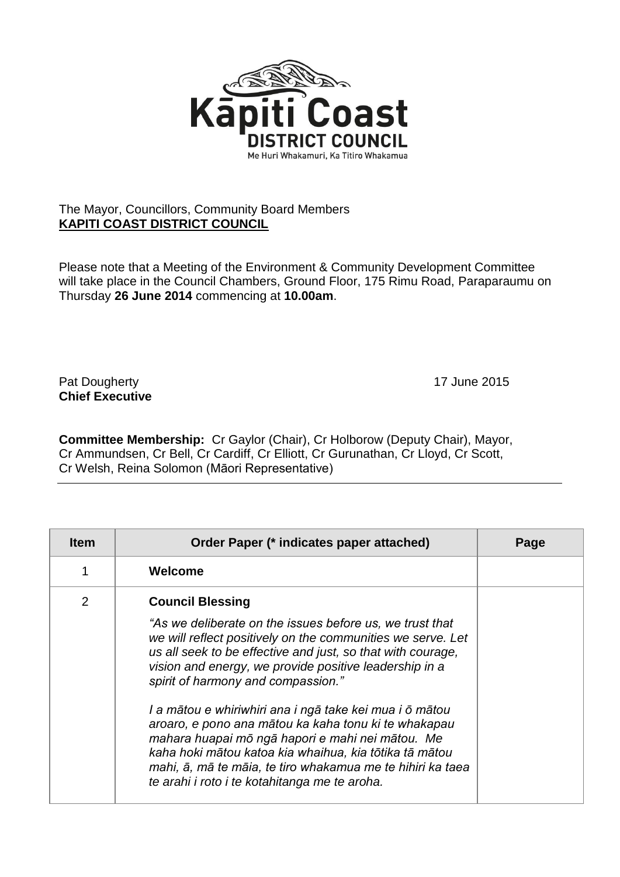

## The Mayor, Councillors, Community Board Members **KAPITI COAST DISTRICT COUNCIL**

Please note that a Meeting of the Environment & Community Development Committee will take place in the Council Chambers, Ground Floor, 175 Rimu Road, Paraparaumu on Thursday **26 June 2014** commencing at **10.00am**.

Pat Dougherty **17** June 2015 **Chief Executive**

**Committee Membership:** Cr Gaylor (Chair), Cr Holborow (Deputy Chair), Mayor, Cr Ammundsen, Cr Bell, Cr Cardiff, Cr Elliott, Cr Gurunathan, Cr Lloyd, Cr Scott, Cr Welsh, Reina Solomon (Māori Representative)

| <b>Item</b>    | Order Paper (* indicates paper attached)                                                                                                                                                                                                                                                                                                                                                                                                                                                                                                                                                                                                                          | Page |
|----------------|-------------------------------------------------------------------------------------------------------------------------------------------------------------------------------------------------------------------------------------------------------------------------------------------------------------------------------------------------------------------------------------------------------------------------------------------------------------------------------------------------------------------------------------------------------------------------------------------------------------------------------------------------------------------|------|
|                | Welcome                                                                                                                                                                                                                                                                                                                                                                                                                                                                                                                                                                                                                                                           |      |
| $\overline{2}$ | <b>Council Blessing</b><br>"As we deliberate on the issues before us, we trust that<br>we will reflect positively on the communities we serve. Let<br>us all seek to be effective and just, so that with courage,<br>vision and energy, we provide positive leadership in a<br>spirit of harmony and compassion."<br>I a mātou e whiriwhiri ana i ngā take kei mua i ō mātou<br>aroaro, e pono ana mātou ka kaha tonu ki te whakapau<br>mahara huapai mō ngā hapori e mahi nei mātou. Me<br>kaha hoki mātou katoa kia whaihua, kia tōtika tā mātou<br>mahi, ā, mā te māia, te tiro whakamua me te hihiri ka taea<br>te arahi i roto i te kotahitanga me te aroha. |      |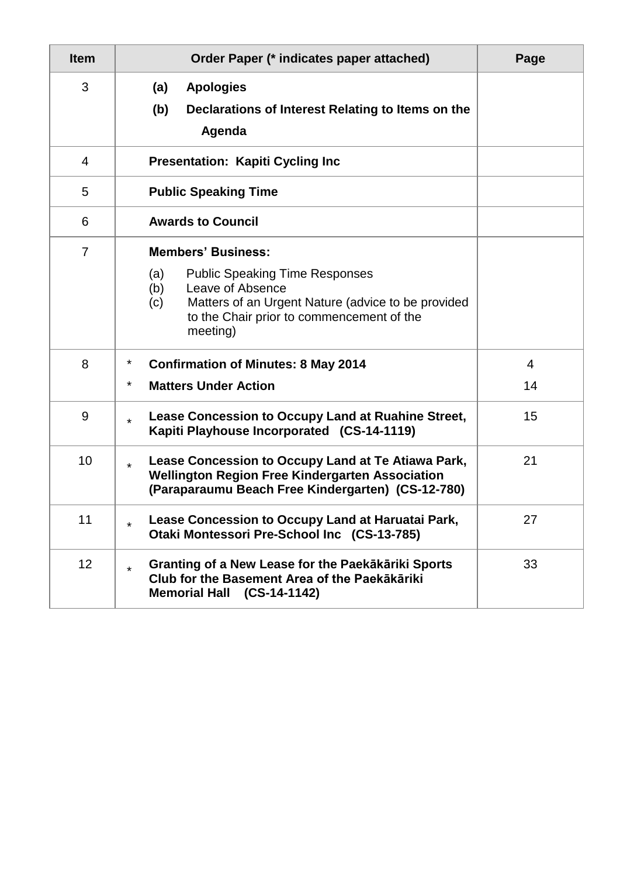| <b>Item</b>    | Order Paper (* indicates paper attached)                                                                                                                                                                                   | Page    |  |  |  |
|----------------|----------------------------------------------------------------------------------------------------------------------------------------------------------------------------------------------------------------------------|---------|--|--|--|
| 3              | (a)<br><b>Apologies</b><br>(b)<br>Declarations of Interest Relating to Items on the<br>Agenda                                                                                                                              |         |  |  |  |
| $\overline{4}$ | <b>Presentation: Kapiti Cycling Inc.</b>                                                                                                                                                                                   |         |  |  |  |
| 5              | <b>Public Speaking Time</b>                                                                                                                                                                                                |         |  |  |  |
| 6              | <b>Awards to Council</b>                                                                                                                                                                                                   |         |  |  |  |
| $\overline{7}$ | <b>Members' Business:</b><br>(a)<br><b>Public Speaking Time Responses</b><br>Leave of Absence<br>(b)<br>(c)<br>Matters of an Urgent Nature (advice to be provided<br>to the Chair prior to commencement of the<br>meeting) |         |  |  |  |
| 8              | $\ast$<br><b>Confirmation of Minutes: 8 May 2014</b><br>$\ast$<br><b>Matters Under Action</b>                                                                                                                              | 4<br>14 |  |  |  |
| 9              | Lease Concession to Occupy Land at Ruahine Street,<br>$\star$<br>Kapiti Playhouse Incorporated (CS-14-1119)                                                                                                                | 15      |  |  |  |
| 10             | Lease Concession to Occupy Land at Te Atiawa Park,<br>$\star$<br><b>Wellington Region Free Kindergarten Association</b><br>(Paraparaumu Beach Free Kindergarten) (CS-12-780)                                               | 21      |  |  |  |
| 11             | Lease Concession to Occupy Land at Haruatai Park,<br>$\star$<br>Otaki Montessori Pre-School Inc (CS-13-785)                                                                                                                | 27      |  |  |  |
| 12             | Granting of a New Lease for the Paekākāriki Sports<br>$\star$<br>Club for the Basement Area of the Paekākāriki<br>Memorial Hall (CS-14-1142)                                                                               | 33      |  |  |  |